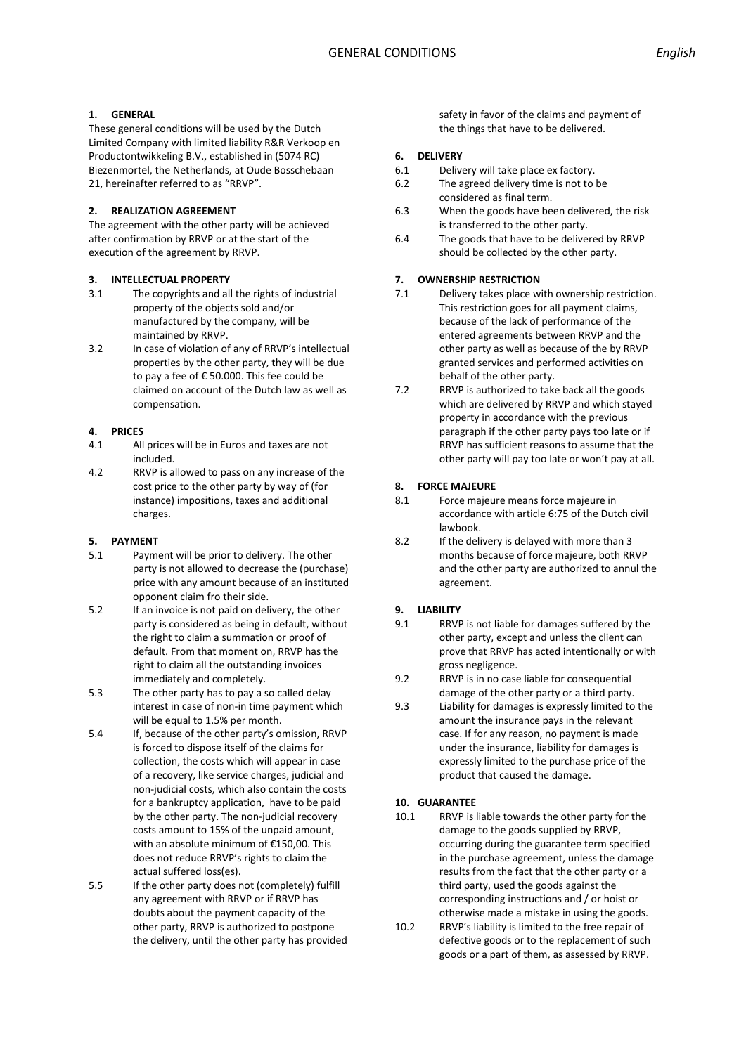## **1. GENERAL**

These general conditions will be used by the Dutch Limited Company with limited liability R&R Verkoop en Productontwikkeling B.V., established in (5074 RC) Biezenmortel, the Netherlands, at Oude Bosschebaan 21, hereinafter referred to as "RRVP".

## **2. REALIZATION AGREEMENT**

The agreement with the other party will be achieved after confirmation by RRVP or at the start of the execution of the agreement by RRVP.

## **3. INTELLECTUAL PROPERTY**

- 3.1 The copyrights and all the rights of industrial property of the objects sold and/or manufactured by the company, will be maintained by RRVP.
- 3.2 In case of violation of any of RRVP's intellectual properties by the other party, they will be due to pay a fee of € 50.000. This fee could be claimed on account of the Dutch law as well as compensation.

### **4. PRICES**

- 4.1 All prices will be in Euros and taxes are not included.
- 4.2 RRVP is allowed to pass on any increase of the cost price to the other party by way of (for instance) impositions, taxes and additional charges.

## **5. PAYMENT**

- 5.1 Payment will be prior to delivery. The other party is not allowed to decrease the (purchase) price with any amount because of an instituted opponent claim fro their side.
- 5.2 If an invoice is not paid on delivery, the other party is considered as being in default, without the right to claim a summation or proof of default. From that moment on, RRVP has the right to claim all the outstanding invoices immediately and completely.
- 5.3 The other party has to pay a so called delay interest in case of non-in time payment which will be equal to 1.5% per month.
- 5.4 If, because of the other party's omission, RRVP is forced to dispose itself of the claims for collection, the costs which will appear in case of a recovery, like service charges, judicial and non-judicial costs, which also contain the costs for a bankruptcy application, have to be paid by the other party. The non-judicial recovery costs amount to 15% of the unpaid amount, with an absolute minimum of €150,00. This does not reduce RRVP's rights to claim the actual suffered loss(es).
- 5.5 If the other party does not (completely) fulfill any agreement with RRVP or if RRVP has doubts about the payment capacity of the other party, RRVP is authorized to postpone the delivery, until the other party has provided

safety in favor of the claims and payment of the things that have to be delivered.

### **6. DELIVERY**

- 6.1 Delivery will take place ex factory.
- 6.2 The agreed delivery time is not to be considered as final term.
- 6.3 When the goods have been delivered, the risk is transferred to the other party.
- 6.4 The goods that have to be delivered by RRVP should be collected by the other party.

# **7. OWNERSHIP RESTRICTION**

- 7.1 Delivery takes place with ownership restriction. This restriction goes for all payment claims, because of the lack of performance of the entered agreements between RRVP and the other party as well as because of the by RRVP granted services and performed activities on behalf of the other party.
- 7.2 RRVP is authorized to take back all the goods which are delivered by RRVP and which stayed property in accordance with the previous paragraph if the other party pays too late or if RRVP has sufficient reasons to assume that the other party will pay too late or won't pay at all.

### **8. FORCE MAJEURE**

- 8.1 Force majeure means force majeure in accordance with article 6:75 of the Dutch civil lawbook.
- 8.2 If the delivery is delayed with more than 3 months because of force majeure, both RRVP and the other party are authorized to annul the agreement.

## **9. LIABILITY**

- 9.1 RRVP is not liable for damages suffered by the other party, except and unless the client can prove that RRVP has acted intentionally or with gross negligence.
- 9.2 RRVP is in no case liable for consequential damage of the other party or a third party.
- 9.3 Liability for damages is expressly limited to the amount the insurance pays in the relevant case. If for any reason, no payment is made under the insurance, liability for damages is expressly limited to the purchase price of the product that caused the damage.

# **10. GUARANTEE**

- 10.1 RRVP is liable towards the other party for the damage to the goods supplied by RRVP, occurring during the guarantee term specified in the purchase agreement, unless the damage results from the fact that the other party or a third party, used the goods against the corresponding instructions and / or hoist or otherwise made a mistake in using the goods.
- 10.2 RRVP's liability is limited to the free repair of defective goods or to the replacement of such goods or a part of them, as assessed by RRVP.